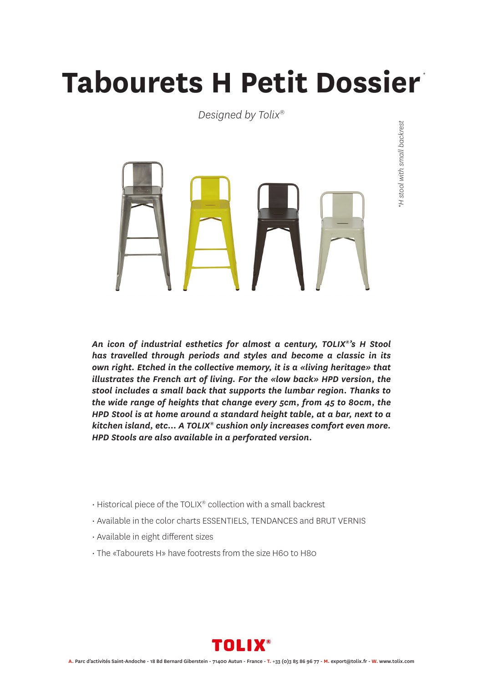## **Tabourets H Petit Dossier** *\**

*Designed by Tolix®*



H stool with small backrest *\*H stool with small backrest*

*An icon of industrial esthetics for almost a century, TOLIX®'s H Stool has travelled through periods and styles and become a classic in its own right. Etched in the collective memory, it is a «living heritage» that illustrates the French art of living. For the «low back» HPD version, the stool includes a small back that supports the lumbar region. Thanks to the wide range of heights that change every 5cm, from 45 to 80cm, the HPD Stool is at home around a standard height table, at a bar, next to a kitchen island, etc… A TOLIX® cushion only increases comfort even more. HPD Stools are also available in a perforated version.*

- Historical piece of the TOLIX® collection with a small backrest
- Available in the color charts ESSENTIELS, TENDANCES and BRUT VERNIS
- Available in eight different sizes
- The «Tabourets H» have footrests from the size H60 to H80